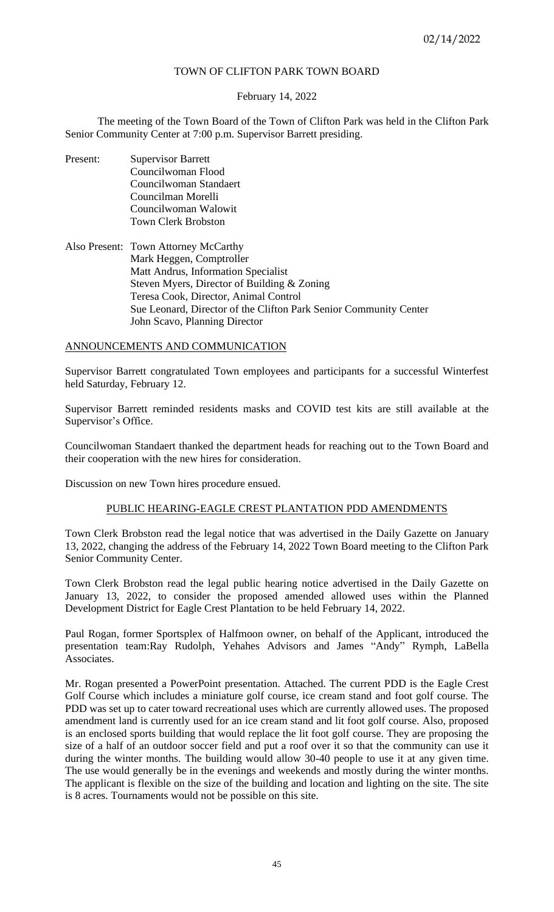# TOWN OF CLIFTON PARK TOWN BOARD

# February 14, 2022

The meeting of the Town Board of the Town of Clifton Park was held in the Clifton Park Senior Community Center at 7:00 p.m. Supervisor Barrett presiding.

- Present: Supervisor Barrett Councilwoman Flood Councilwoman Standaert Councilman Morelli Councilwoman Walowit Town Clerk Brobston
- Also Present: Town Attorney McCarthy Mark Heggen, Comptroller Matt Andrus, Information Specialist Steven Myers, Director of Building & Zoning Teresa Cook, Director, Animal Control Sue Leonard, Director of the Clifton Park Senior Community Center John Scavo, Planning Director

# ANNOUNCEMENTS AND COMMUNICATION

Supervisor Barrett congratulated Town employees and participants for a successful Winterfest held Saturday, February 12.

Supervisor Barrett reminded residents masks and COVID test kits are still available at the Supervisor's Office.

Councilwoman Standaert thanked the department heads for reaching out to the Town Board and their cooperation with the new hires for consideration.

Discussion on new Town hires procedure ensued.

# PUBLIC HEARING-EAGLE CREST PLANTATION PDD AMENDMENTS

Town Clerk Brobston read the legal notice that was advertised in the Daily Gazette on January 13, 2022, changing the address of the February 14, 2022 Town Board meeting to the Clifton Park Senior Community Center.

Town Clerk Brobston read the legal public hearing notice advertised in the Daily Gazette on January 13, 2022, to consider the proposed amended allowed uses within the Planned Development District for Eagle Crest Plantation to be held February 14, 2022.

Paul Rogan, former Sportsplex of Halfmoon owner, on behalf of the Applicant, introduced the presentation team:Ray Rudolph, Yehahes Advisors and James "Andy" Rymph, LaBella Associates.

Mr. Rogan presented a PowerPoint presentation. Attached. The current PDD is the Eagle Crest Golf Course which includes a miniature golf course, ice cream stand and foot golf course. The PDD was set up to cater toward recreational uses which are currently allowed uses. The proposed amendment land is currently used for an ice cream stand and lit foot golf course. Also, proposed is an enclosed sports building that would replace the lit foot golf course. They are proposing the size of a half of an outdoor soccer field and put a roof over it so that the community can use it during the winter months. The building would allow 30-40 people to use it at any given time. The use would generally be in the evenings and weekends and mostly during the winter months. The applicant is flexible on the size of the building and location and lighting on the site. The site is 8 acres. Tournaments would not be possible on this site.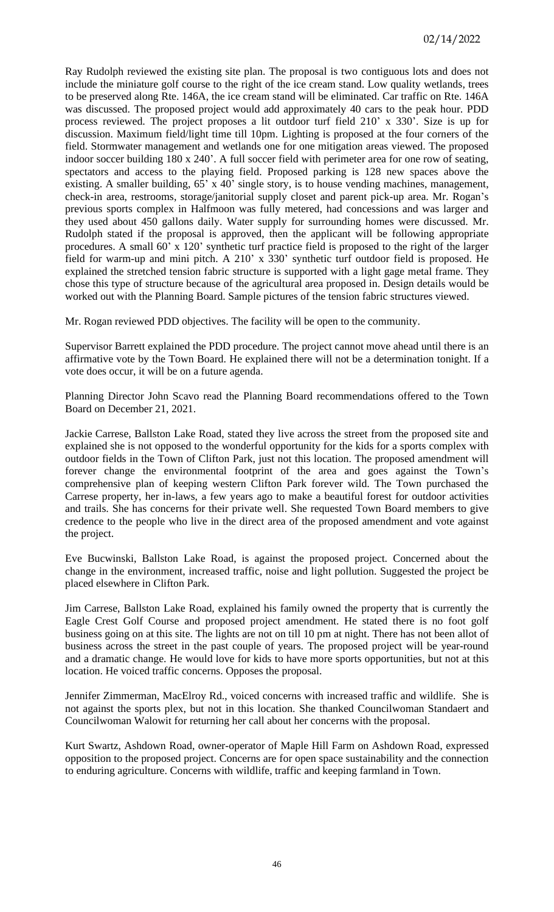Ray Rudolph reviewed the existing site plan. The proposal is two contiguous lots and does not include the miniature golf course to the right of the ice cream stand. Low quality wetlands, trees to be preserved along Rte. 146A, the ice cream stand will be eliminated. Car traffic on Rte. 146A was discussed. The proposed project would add approximately 40 cars to the peak hour. PDD process reviewed. The project proposes a lit outdoor turf field 210' x 330'. Size is up for discussion. Maximum field/light time till 10pm. Lighting is proposed at the four corners of the field. Stormwater management and wetlands one for one mitigation areas viewed. The proposed indoor soccer building 180 x 240'. A full soccer field with perimeter area for one row of seating, spectators and access to the playing field. Proposed parking is 128 new spaces above the existing. A smaller building, 65' x 40' single story, is to house vending machines, management, check-in area, restrooms, storage/janitorial supply closet and parent pick-up area. Mr. Rogan's previous sports complex in Halfmoon was fully metered, had concessions and was larger and they used about 450 gallons daily. Water supply for surrounding homes were discussed. Mr. Rudolph stated if the proposal is approved, then the applicant will be following appropriate procedures. A small 60' x 120' synthetic turf practice field is proposed to the right of the larger field for warm-up and mini pitch. A 210' x 330' synthetic turf outdoor field is proposed. He explained the stretched tension fabric structure is supported with a light gage metal frame. They chose this type of structure because of the agricultural area proposed in. Design details would be worked out with the Planning Board. Sample pictures of the tension fabric structures viewed.

Mr. Rogan reviewed PDD objectives. The facility will be open to the community.

Supervisor Barrett explained the PDD procedure. The project cannot move ahead until there is an affirmative vote by the Town Board. He explained there will not be a determination tonight. If a vote does occur, it will be on a future agenda.

Planning Director John Scavo read the Planning Board recommendations offered to the Town Board on December 21, 2021.

Jackie Carrese, Ballston Lake Road, stated they live across the street from the proposed site and explained she is not opposed to the wonderful opportunity for the kids for a sports complex with outdoor fields in the Town of Clifton Park, just not this location. The proposed amendment will forever change the environmental footprint of the area and goes against the Town's comprehensive plan of keeping western Clifton Park forever wild. The Town purchased the Carrese property, her in-laws, a few years ago to make a beautiful forest for outdoor activities and trails. She has concerns for their private well. She requested Town Board members to give credence to the people who live in the direct area of the proposed amendment and vote against the project.

Eve Bucwinski, Ballston Lake Road, is against the proposed project. Concerned about the change in the environment, increased traffic, noise and light pollution. Suggested the project be placed elsewhere in Clifton Park.

Jim Carrese, Ballston Lake Road, explained his family owned the property that is currently the Eagle Crest Golf Course and proposed project amendment. He stated there is no foot golf business going on at this site. The lights are not on till 10 pm at night. There has not been allot of business across the street in the past couple of years. The proposed project will be year-round and a dramatic change. He would love for kids to have more sports opportunities, but not at this location. He voiced traffic concerns. Opposes the proposal.

Jennifer Zimmerman, MacElroy Rd., voiced concerns with increased traffic and wildlife. She is not against the sports plex, but not in this location. She thanked Councilwoman Standaert and Councilwoman Walowit for returning her call about her concerns with the proposal.

Kurt Swartz, Ashdown Road, owner-operator of Maple Hill Farm on Ashdown Road, expressed opposition to the proposed project. Concerns are for open space sustainability and the connection to enduring agriculture. Concerns with wildlife, traffic and keeping farmland in Town.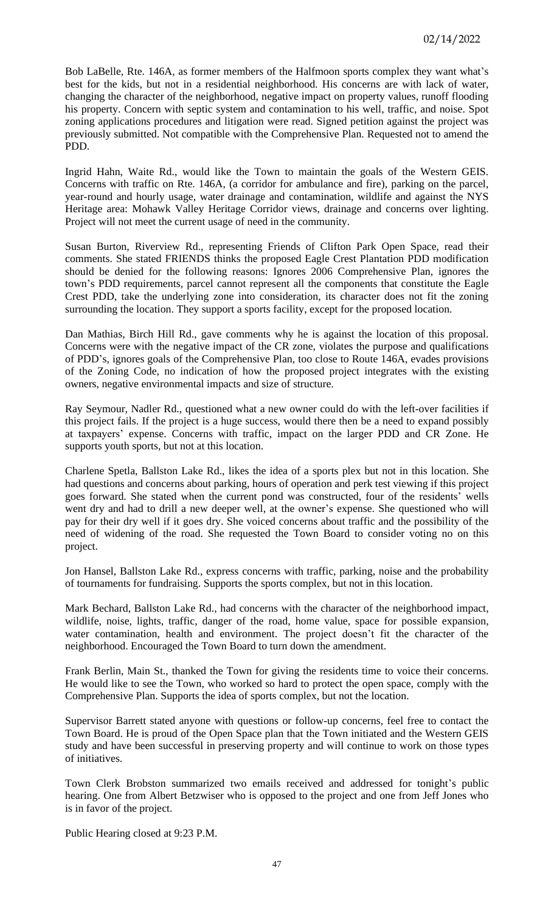Bob LaBelle, Rte. 146A, as former members of the Halfmoon sports complex they want what's best for the kids, but not in a residential neighborhood. His concerns are with lack of water, changing the character of the neighborhood, negative impact on property values, runoff flooding his property. Concern with septic system and contamination to his well, traffic, and noise. Spot zoning applications procedures and litigation were read. Signed petition against the project was previously submitted. Not compatible with the Comprehensive Plan. Requested not to amend the PDD.

Ingrid Hahn, Waite Rd., would like the Town to maintain the goals of the Western GEIS. Concerns with traffic on Rte. 146A, (a corridor for ambulance and fire), parking on the parcel, year-round and hourly usage, water drainage and contamination, wildlife and against the NYS Heritage area: Mohawk Valley Heritage Corridor views, drainage and concerns over lighting. Project will not meet the current usage of need in the community.

Susan Burton, Riverview Rd., representing Friends of Clifton Park Open Space, read their comments. She stated FRIENDS thinks the proposed Eagle Crest Plantation PDD modification should be denied for the following reasons: Ignores 2006 Comprehensive Plan, ignores the town's PDD requirements, parcel cannot represent all the components that constitute the Eagle Crest PDD, take the underlying zone into consideration, its character does not fit the zoning surrounding the location. They support a sports facility, except for the proposed location.

Dan Mathias, Birch Hill Rd., gave comments why he is against the location of this proposal. Concerns were with the negative impact of the CR zone, violates the purpose and qualifications of PDD's, ignores goals of the Comprehensive Plan, too close to Route 146A, evades provisions of the Zoning Code, no indication of how the proposed project integrates with the existing owners, negative environmental impacts and size of structure.

Ray Seymour, Nadler Rd., questioned what a new owner could do with the left-over facilities if this project fails. If the project is a huge success, would there then be a need to expand possibly at taxpayers' expense. Concerns with traffic, impact on the larger PDD and CR Zone. He supports youth sports, but not at this location.

Charlene Spetla, Ballston Lake Rd., likes the idea of a sports plex but not in this location. She had questions and concerns about parking, hours of operation and perk test viewing if this project goes forward. She stated when the current pond was constructed, four of the residents' wells went dry and had to drill a new deeper well, at the owner's expense. She questioned who will pay for their dry well if it goes dry. She voiced concerns about traffic and the possibility of the need of widening of the road. She requested the Town Board to consider voting no on this project.

Jon Hansel, Ballston Lake Rd., express concerns with traffic, parking, noise and the probability of tournaments for fundraising. Supports the sports complex, but not in this location.

Mark Bechard, Ballston Lake Rd., had concerns with the character of the neighborhood impact, wildlife, noise, lights, traffic, danger of the road, home value, space for possible expansion, water contamination, health and environment. The project doesn't fit the character of the neighborhood. Encouraged the Town Board to turn down the amendment.

Frank Berlin, Main St., thanked the Town for giving the residents time to voice their concerns. He would like to see the Town, who worked so hard to protect the open space, comply with the Comprehensive Plan. Supports the idea of sports complex, but not the location.

Supervisor Barrett stated anyone with questions or follow-up concerns, feel free to contact the Town Board. He is proud of the Open Space plan that the Town initiated and the Western GEIS study and have been successful in preserving property and will continue to work on those types of initiatives.

Town Clerk Brobston summarized two emails received and addressed for tonight's public hearing. One from Albert Betzwiser who is opposed to the project and one from Jeff Jones who is in favor of the project.

Public Hearing closed at 9:23 P.M.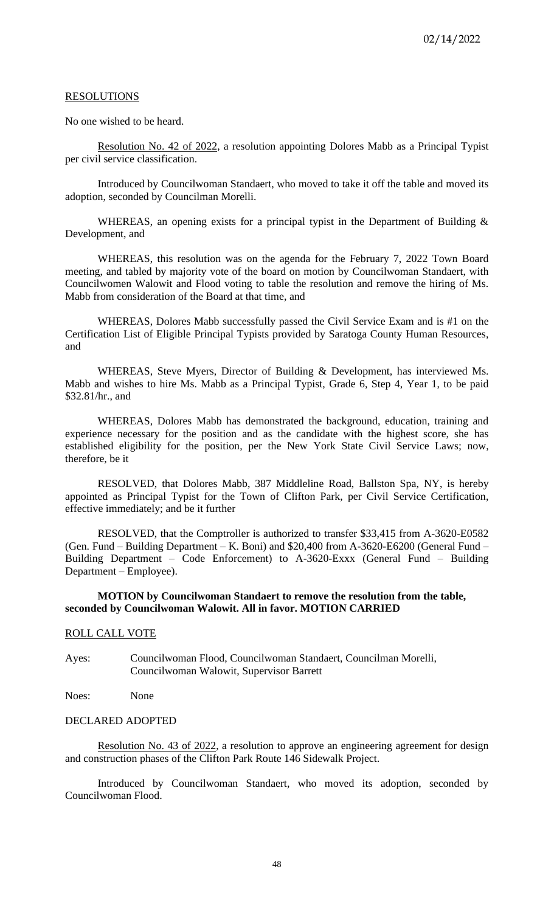### RESOLUTIONS

No one wished to be heard.

Resolution No. 42 of 2022, a resolution appointing Dolores Mabb as a Principal Typist per civil service classification.

Introduced by Councilwoman Standaert, who moved to take it off the table and moved its adoption, seconded by Councilman Morelli.

WHEREAS, an opening exists for a principal typist in the Department of Building  $\&$ Development, and

WHEREAS, this resolution was on the agenda for the February 7, 2022 Town Board meeting, and tabled by majority vote of the board on motion by Councilwoman Standaert, with Councilwomen Walowit and Flood voting to table the resolution and remove the hiring of Ms. Mabb from consideration of the Board at that time, and

WHEREAS, Dolores Mabb successfully passed the Civil Service Exam and is #1 on the Certification List of Eligible Principal Typists provided by Saratoga County Human Resources, and

WHEREAS, Steve Myers, Director of Building & Development, has interviewed Ms. Mabb and wishes to hire Ms. Mabb as a Principal Typist, Grade 6, Step 4, Year 1, to be paid \$32.81/hr., and

WHEREAS, Dolores Mabb has demonstrated the background, education, training and experience necessary for the position and as the candidate with the highest score, she has established eligibility for the position, per the New York State Civil Service Laws; now, therefore, be it

RESOLVED, that Dolores Mabb, 387 Middleline Road, Ballston Spa, NY, is hereby appointed as Principal Typist for the Town of Clifton Park, per Civil Service Certification, effective immediately; and be it further

RESOLVED, that the Comptroller is authorized to transfer \$33,415 from A-3620-E0582 (Gen. Fund – Building Department – K. Boni) and \$20,400 from A-3620-E6200 (General Fund – Building Department – Code Enforcement) to A-3620-Exxx (General Fund – Building Department – Employee).

## **MOTION by Councilwoman Standaert to remove the resolution from the table, seconded by Councilwoman Walowit. All in favor. MOTION CARRIED**

## ROLL CALL VOTE

Ayes: Councilwoman Flood, Councilwoman Standaert, Councilman Morelli, Councilwoman Walowit, Supervisor Barrett

Noes: None

### DECLARED ADOPTED

Resolution No. 43 of 2022, a resolution to approve an engineering agreement for design and construction phases of the Clifton Park Route 146 Sidewalk Project.

Introduced by Councilwoman Standaert, who moved its adoption, seconded by Councilwoman Flood.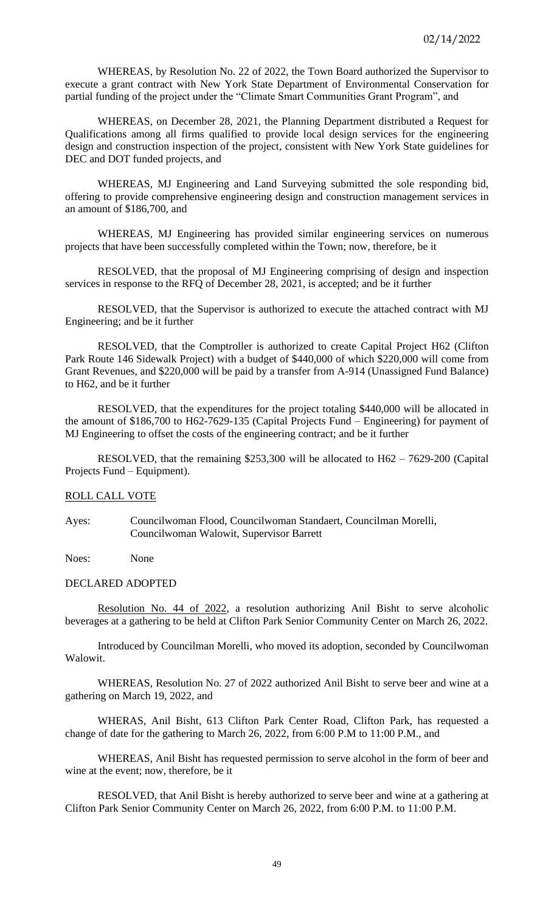WHEREAS, by Resolution No. 22 of 2022, the Town Board authorized the Supervisor to execute a grant contract with New York State Department of Environmental Conservation for partial funding of the project under the "Climate Smart Communities Grant Program", and

WHEREAS, on December 28, 2021, the Planning Department distributed a Request for Qualifications among all firms qualified to provide local design services for the engineering design and construction inspection of the project, consistent with New York State guidelines for DEC and DOT funded projects, and

WHEREAS, MJ Engineering and Land Surveying submitted the sole responding bid, offering to provide comprehensive engineering design and construction management services in an amount of \$186,700, and

WHEREAS, MJ Engineering has provided similar engineering services on numerous projects that have been successfully completed within the Town; now, therefore, be it

RESOLVED, that the proposal of MJ Engineering comprising of design and inspection services in response to the RFQ of December 28, 2021, is accepted; and be it further

RESOLVED, that the Supervisor is authorized to execute the attached contract with MJ Engineering; and be it further

RESOLVED, that the Comptroller is authorized to create Capital Project H62 (Clifton Park Route 146 Sidewalk Project) with a budget of \$440,000 of which \$220,000 will come from Grant Revenues, and \$220,000 will be paid by a transfer from A-914 (Unassigned Fund Balance) to H62, and be it further

RESOLVED, that the expenditures for the project totaling \$440,000 will be allocated in the amount of \$186,700 to H62-7629-135 (Capital Projects Fund – Engineering) for payment of MJ Engineering to offset the costs of the engineering contract; and be it further

RESOLVED, that the remaining \$253,300 will be allocated to H62 – 7629-200 (Capital Projects Fund – Equipment).

## ROLL CALL VOTE

Ayes: Councilwoman Flood, Councilwoman Standaert, Councilman Morelli, Councilwoman Walowit, Supervisor Barrett

Noes: None

### DECLARED ADOPTED

Resolution No. 44 of 2022, a resolution authorizing Anil Bisht to serve alcoholic beverages at a gathering to be held at Clifton Park Senior Community Center on March 26, 2022.

Introduced by Councilman Morelli, who moved its adoption, seconded by Councilwoman Walowit.

WHEREAS, Resolution No. 27 of 2022 authorized Anil Bisht to serve beer and wine at a gathering on March 19, 2022, and

WHERAS, Anil Bisht, 613 Clifton Park Center Road, Clifton Park, has requested a change of date for the gathering to March 26, 2022, from 6:00 P.M to 11:00 P.M., and

WHEREAS, Anil Bisht has requested permission to serve alcohol in the form of beer and wine at the event; now, therefore, be it

RESOLVED, that Anil Bisht is hereby authorized to serve beer and wine at a gathering at Clifton Park Senior Community Center on March 26, 2022, from 6:00 P.M. to 11:00 P.M.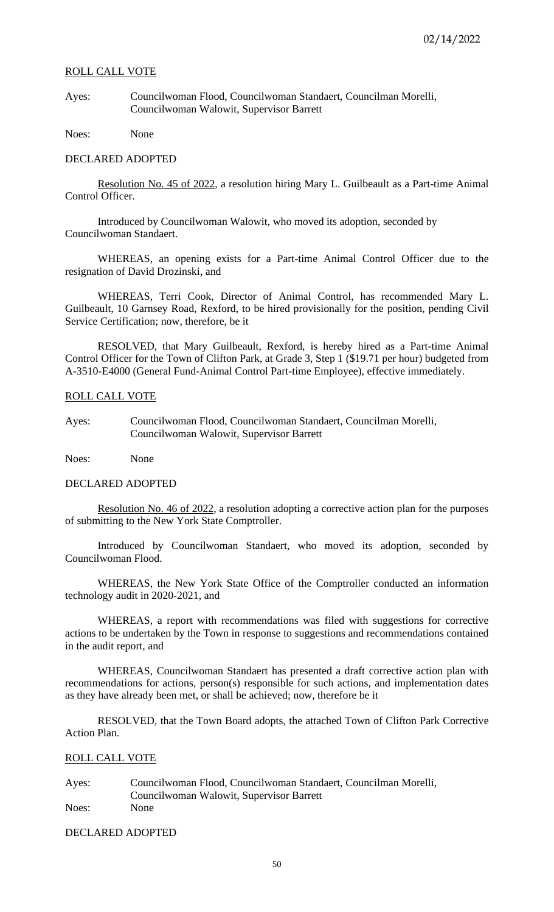### ROLL CALL VOTE

Ayes: Councilwoman Flood, Councilwoman Standaert, Councilman Morelli, Councilwoman Walowit, Supervisor Barrett

Noes: None

#### DECLARED ADOPTED

Resolution No. 45 of 2022, a resolution hiring Mary L. Guilbeault as a Part-time Animal Control Officer.

Introduced by Councilwoman Walowit, who moved its adoption, seconded by Councilwoman Standaert.

WHEREAS, an opening exists for a Part-time Animal Control Officer due to the resignation of David Drozinski, and

WHEREAS, Terri Cook, Director of Animal Control, has recommended Mary L. Guilbeault, 10 Garnsey Road, Rexford, to be hired provisionally for the position, pending Civil Service Certification; now, therefore, be it

RESOLVED, that Mary Guilbeault, Rexford, is hereby hired as a Part-time Animal Control Officer for the Town of Clifton Park, at Grade 3, Step 1 (\$19.71 per hour) budgeted from A-3510-E4000 (General Fund-Animal Control Part-time Employee), effective immediately.

### ROLL CALL VOTE

Ayes: Councilwoman Flood, Councilwoman Standaert, Councilman Morelli, Councilwoman Walowit, Supervisor Barrett

Noes: None

#### DECLARED ADOPTED

Resolution No. 46 of 2022, a resolution adopting a corrective action plan for the purposes of submitting to the New York State Comptroller.

Introduced by Councilwoman Standaert, who moved its adoption, seconded by Councilwoman Flood.

WHEREAS, the New York State Office of the Comptroller conducted an information technology audit in 2020-2021, and

WHEREAS, a report with recommendations was filed with suggestions for corrective actions to be undertaken by the Town in response to suggestions and recommendations contained in the audit report, and

WHEREAS, Councilwoman Standaert has presented a draft corrective action plan with recommendations for actions, person(s) responsible for such actions, and implementation dates as they have already been met, or shall be achieved; now, therefore be it

RESOLVED, that the Town Board adopts, the attached Town of Clifton Park Corrective Action Plan.

## ROLL CALL VOTE

Ayes: Councilwoman Flood, Councilwoman Standaert, Councilman Morelli, Councilwoman Walowit, Supervisor Barrett Noes: None

DECLARED ADOPTED